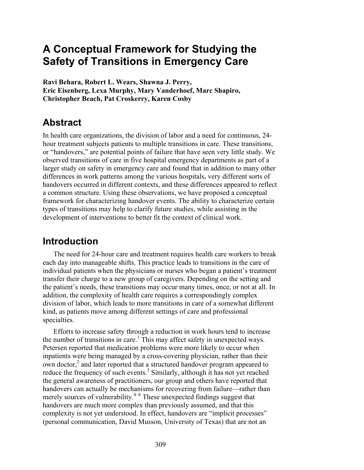# **A Conceptual Framework for Studying the Safety of Transitions in Emergency Care**

**Ravi Behara, Robert L. Wears, Shawna J. Perry, Eric Eisenberg, Lexa Murphy, Mary Vanderhoef, Marc Shapiro, Christopher Beach, Pat Croskerry, Karen Cosby** 

## **Abstract**

In health care organizations, the division of labor and a need for continuous, 24 hour treatment subjects patients to multiple transitions in care. These transitions, or "handovers," are potential points of failure that have seen very little study. We observed transitions of care in five hospital emergency departments as part of a larger study on safety in emergency care and found that in addition to many other differences in work patterns among the various hospitals, very different sorts of handovers occurred in different contexts, and these differences appeared to reflect a common structure. Using these observations, we have proposed a conceptual framework for characterizing handover events. The ability to characterize certain types of transitions may help to clarify future studies, while assisting in the development of interventions to better fit the context of clinical work.

## **Introduction**

The need for 24-hour care and treatment requires health care workers to break each day into manageable shifts. This practice leads to transitions in the care of individual patients when the physicians or nurses who began a patient's treatment transfer their charge to a new group of caregivers. Depending on the setting and the patient's needs, these transitions may occur many times, once, or not at all. In addition, the complexity of health care requires a correspondingly complex division of labor, which leads to more transitions in care of a somewhat different kind, as patients move among different settings of care and professional specialties.

Efforts to increase safety through a reduction in work hours tend to increase the number of transitions in care.<sup>1</sup> This may affect safety in unexpected ways. Petersen reported that medication problems were more likely to occur when inpatients were being managed by a cross-covering physician, rather than their own doctor,<sup>2</sup> and later reported that a structured handover program appeared to reduce the frequency of such events.<sup>3</sup> Similarly, although it has not yet reached the general awareness of practitioners, our group and others have reported that handovers can actually be mechanisms for recovering from failure—rather than merely sources of vulnerability.<sup>4–8</sup> These unexpected findings suggest that handovers are much more complex than previously assumed, and that this complexity is not yet understood. In effect, handovers are "implicit processes" (personal communication, David Musson, University of Texas) that are not an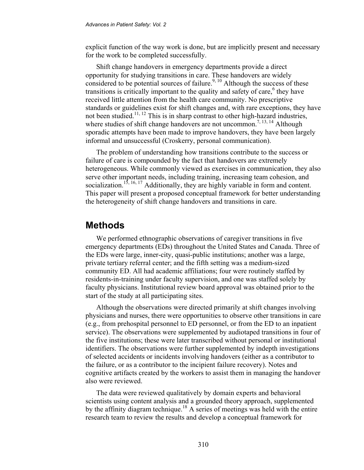explicit function of the way work is done, but are implicitly present and necessary for the work to be completed successfully.

Shift change handovers in emergency departments provide a direct opportunity for studying transitions in care. These handovers are widely considered to be potential sources of failure.<sup>9, 10</sup> Although the success of these transitions is critically important to the quality and safety of care,<sup>6</sup> they have received little attention from the health care community. No prescriptive standards or guidelines exist for shift changes and, with rare exceptions, they have not been studied.<sup>11, 12</sup> This is in sharp contrast to other high-hazard industries, where studies of shift change handovers are not uncommon.<sup>7, 13, 14</sup> Although sporadic attempts have been made to improve handovers, they have been largely informal and unsuccessful (Croskerry, personal communication).

The problem of understanding how transitions contribute to the success or failure of care is compounded by the fact that handovers are extremely heterogeneous. While commonly viewed as exercises in communication, they also serve other important needs, including training, increasing team cohesion, and socialization.<sup>15, 16, 17</sup> Additionally, they are highly variable in form and content. This paper will present a proposed conceptual framework for better understanding the heterogeneity of shift change handovers and transitions in care.

### **Methods**

We performed ethnographic observations of caregiver transitions in five emergency departments (EDs) throughout the United States and Canada. Three of the EDs were large, inner-city, quasi-public institutions; another was a large, private tertiary referral center; and the fifth setting was a medium-sized community ED. All had academic affiliations; four were routinely staffed by residents-in-training under faculty supervision, and one was staffed solely by faculty physicians. Institutional review board approval was obtained prior to the start of the study at all participating sites.

Although the observations were directed primarily at shift changes involving physicians and nurses, there were opportunities to observe other transitions in care (e.g., from prehospital personnel to ED personnel, or from the ED to an inpatient service). The observations were supplemented by audiotaped transitions in four of the five institutions; these were later transcribed without personal or institutional identifiers. The observations were further supplemented by indepth investigations of selected accidents or incidents involving handovers (either as a contributor to the failure, or as a contributor to the incipient failure recovery). Notes and cognitive artifacts created by the workers to assist them in managing the handover also were reviewed.

The data were reviewed qualitatively by domain experts and behavioral scientists using content analysis and a grounded theory approach, supplemented by the affinity diagram technique.<sup>18</sup> A series of meetings was held with the entire research team to review the results and develop a conceptual framework for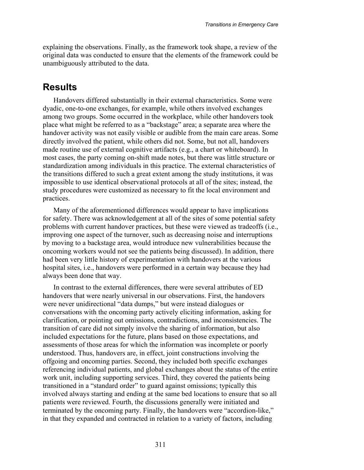explaining the observations. Finally, as the framework took shape, a review of the original data was conducted to ensure that the elements of the framework could be unambiguously attributed to the data.

### **Results**

Handovers differed substantially in their external characteristics. Some were dyadic, one-to-one exchanges, for example, while others involved exchanges among two groups. Some occurred in the workplace, while other handovers took place what might be referred to as a "backstage" area; a separate area where the handover activity was not easily visible or audible from the main care areas. Some directly involved the patient, while others did not. Some, but not all, handovers made routine use of external cognitive artifacts (e.g., a chart or whiteboard). In most cases, the party coming on-shift made notes, but there was little structure or standardization among individuals in this practice. The external characteristics of the transitions differed to such a great extent among the study institutions, it was impossible to use identical observational protocols at all of the sites; instead, the study procedures were customized as necessary to fit the local environment and practices.

Many of the aforementioned differences would appear to have implications for safety. There was acknowledgement at all of the sites of some potential safety problems with current handover practices, but these were viewed as tradeoffs (i.e., improving one aspect of the turnover, such as decreasing noise and interruptions by moving to a backstage area, would introduce new vulnerabilities because the oncoming workers would not see the patients being discussed). In addition, there had been very little history of experimentation with handovers at the various hospital sites, i.e., handovers were performed in a certain way because they had always been done that way.

In contrast to the external differences, there were several attributes of ED handovers that were nearly universal in our observations. First, the handovers were never unidirectional "data dumps," but were instead dialogues or conversations with the oncoming party actively eliciting information, asking for clarification, or pointing out omissions, contradictions, and inconsistencies. The transition of care did not simply involve the sharing of information, but also included expectations for the future, plans based on those expectations, and assessments of those areas for which the information was incomplete or poorly understood. Thus, handovers are, in effect, joint constructions involving the offgoing and oncoming parties. Second, they included both specific exchanges referencing individual patients, and global exchanges about the status of the entire work unit, including supporting services. Third, they covered the patients being transitioned in a "standard order" to guard against omissions; typically this involved always starting and ending at the same bed locations to ensure that so all patients were reviewed. Fourth, the discussions generally were initiated and terminated by the oncoming party. Finally, the handovers were "accordion-like," in that they expanded and contracted in relation to a variety of factors, including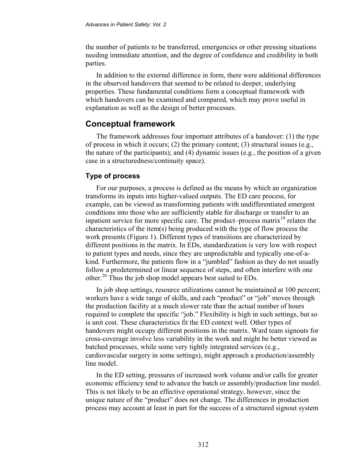the number of patients to be transferred, emergencies or other pressing situations needing immediate attention, and the degree of confidence and credibility in both parties.

In addition to the external difference in form, there were additional differences in the observed handovers that seemed to be related to deeper, underlying properties. These fundamental conditions form a conceptual framework with which handovers can be examined and compared, which may prove useful in explanation as well as the design of better processes.

### **Conceptual framework**

The framework addresses four important attributes of a handover: (1) the type of process in which it occurs; (2) the primary content; (3) structural issues (e.g., the nature of the participants); and (4) dynamic issues (e.g., the position of a given case in a structuredness/continuity space).

### **Type of process**

For our purposes, a process is defined as the means by which an organization transforms its inputs into higher-valued outputs. The ED care process, for example, can be viewed as transforming patients with undifferentiated emergent conditions into those who are sufficiently stable for discharge or transfer to an inpatient service for more specific care. The product–process matrix<sup>19</sup> relates the characteristics of the item(s) being produced with the type of flow process the work presents (Figure 1). Different types of transitions are characterized by different positions in the matrix. In EDs, standardization is very low with respect to patient types and needs, since they are unpredictable and typically one-of-akind. Furthermore, the patients flow in a "jumbled" fashion as they do not usually follow a predetermined or linear sequence of steps, and often interfere with one other.20 Thus the job shop model appears best suited to EDs.

In job shop settings, resource utilizations cannot be maintained at 100 percent; workers have a wide range of skills, and each "product" or "job" moves through the production facility at a much slower rate than the actual number of hours required to complete the specific "job." Flexibility is high in such settings, but so is unit cost. These characteristics fit the ED context well. Other types of handovers might occupy different positions in the matrix. Ward team signouts for cross-coverage involve less variability in the work and might be better viewed as batched processes, while some very tightly integrated services (e.g., cardiovascular surgery in some settings), might approach a production/assembly line model

In the ED setting, pressures of increased work volume and/or calls for greater economic efficiency tend to advance the batch or assembly/production line model. This is not likely to be an effective operational strategy, however, since the unique nature of the "product" does not change. The differences in production process may account at least in part for the success of a structured signout system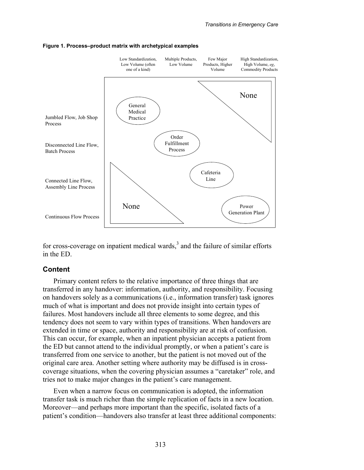

#### **Figure 1. Process–product matrix with archetypical examples**

for cross-coverage on inpatient medical wards, $3$  and the failure of similar efforts in the ED.

#### **Content**

Primary content refers to the relative importance of three things that are transferred in any handover: information, authority, and responsibility. Focusing on handovers solely as a communications (i.e., information transfer) task ignores much of what is important and does not provide insight into certain types of failures. Most handovers include all three elements to some degree, and this tendency does not seem to vary within types of transitions. When handovers are extended in time or space, authority and responsibility are at risk of confusion. This can occur, for example, when an inpatient physician accepts a patient from the ED but cannot attend to the individual promptly, or when a patient's care is transferred from one service to another, but the patient is not moved out of the original care area. Another setting where authority may be diffused is in crosscoverage situations, when the covering physician assumes a "caretaker" role, and tries not to make major changes in the patient's care management.

Even when a narrow focus on communication is adopted, the information transfer task is much richer than the simple replication of facts in a new location. Moreover—and perhaps more important than the specific, isolated facts of a patient's condition—handovers also transfer at least three additional components: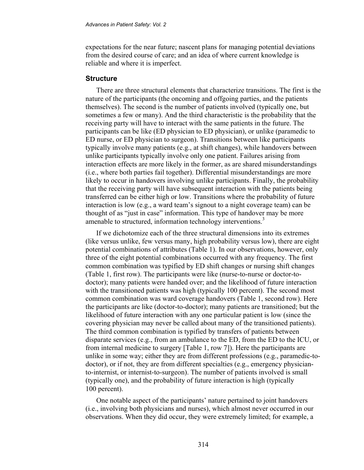expectations for the near future; nascent plans for managing potential deviations from the desired course of care; and an idea of where current knowledge is reliable and where it is imperfect.

#### **Structure**

There are three structural elements that characterize transitions. The first is the nature of the participants (the oncoming and offgoing parties, and the patients themselves). The second is the number of patients involved (typically one, but sometimes a few or many). And the third characteristic is the probability that the receiving party will have to interact with the same patients in the future. The participants can be like (ED physician to ED physician), or unlike (paramedic to ED nurse, or ED physician to surgeon). Transitions between like participants typically involve many patients (e.g., at shift changes), while handovers between unlike participants typically involve only one patient. Failures arising from interaction effects are more likely in the former, as are shared misunderstandings (i.e., where both parties fail together). Differential misunderstandings are more likely to occur in handovers involving unlike participants. Finally, the probability that the receiving party will have subsequent interaction with the patients being transferred can be either high or low. Transitions where the probability of future interaction is low (e.g., a ward team's signout to a night coverage team) can be thought of as "just in case" information. This type of handover may be more amenable to structured, information technology interventions.<sup>3</sup>

If we dichotomize each of the three structural dimensions into its extremes (like versus unlike, few versus many, high probability versus low), there are eight potential combinations of attributes (Table 1). In our observations, however, only three of the eight potential combinations occurred with any frequency. The first common combination was typified by ED shift changes or nursing shift changes (Table 1, first row). The participants were like (nurse-to-nurse or doctor-todoctor); many patients were handed over; and the likelihood of future interaction with the transitioned patients was high (typically 100 percent). The second most common combination was ward coverage handovers (Table 1, second row). Here the participants are like (doctor-to-doctor); many patients are transitioned; but the likelihood of future interaction with any one particular patient is low (since the covering physician may never be called about many of the transitioned patients). The third common combination is typified by transfers of patients between disparate services (e.g., from an ambulance to the ED, from the ED to the ICU, or from internal medicine to surgery [Table 1, row 7]). Here the participants are unlike in some way; either they are from different professions (e.g., paramedic-todoctor), or if not, they are from different specialties (e.g., emergency physicianto-internist, or internist-to-surgeon). The number of patients involved is small (typically one), and the probability of future interaction is high (typically 100 percent).

One notable aspect of the participants' nature pertained to joint handovers (i.e., involving both physicians and nurses), which almost never occurred in our observations. When they did occur, they were extremely limited; for example, a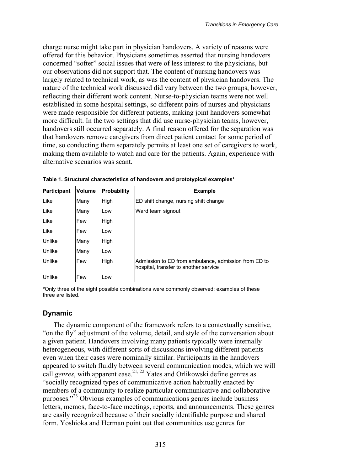charge nurse might take part in physician handovers. A variety of reasons were offered for this behavior. Physicians sometimes asserted that nursing handovers concerned "softer" social issues that were of less interest to the physicians, but our observations did not support that. The content of nursing handovers was largely related to technical work, as was the content of physician handovers. The nature of the technical work discussed did vary between the two groups, however, reflecting their different work content. Nurse-to-physician teams were not well established in some hospital settings, so different pairs of nurses and physicians were made responsible for different patients, making joint handovers somewhat more difficult. In the two settings that did use nurse-physician teams, however, handovers still occurred separately. A final reason offered for the separation was that handovers remove caregivers from direct patient contact for some period of time, so conducting them separately permits at least one set of caregivers to work, making them available to watch and care for the patients. Again, experience with alternative scenarios was scant.

| Participant   | <b>Volume</b> | Probability | <b>Example</b>                                                                                |
|---------------|---------------|-------------|-----------------------------------------------------------------------------------------------|
| Like          | Many          | High        | ED shift change, nursing shift change                                                         |
| Like          | Many          | Low         | Ward team signout                                                                             |
| Like          | Few           | High        |                                                                                               |
| Like          | Few           | Low         |                                                                                               |
| <b>Unlike</b> | Many          | High        |                                                                                               |
| <b>Unlike</b> | Many          | Low         |                                                                                               |
| Unlike        | Few           | High        | Admission to ED from ambulance, admission from ED to<br>hospital, transfer to another service |
| <b>Unlike</b> | Few           | Low         |                                                                                               |

**Table 1. Structural characteristics of handovers and prototypical examples\*** 

**\***Only three of the eight possible combinations were commonly observed; examples of these three are listed.

### **Dynamic**

The dynamic component of the framework refers to a contextually sensitive, "on the fly" adjustment of the volume, detail, and style of the conversation about a given patient. Handovers involving many patients typically were internally heterogeneous, with different sorts of discussions involving different patients even when their cases were nominally similar. Participants in the handovers appeared to switch fluidly between several communication modes, which we will call *genres*, with apparent ease.<sup>21, 22</sup> Yates and Orlikowski define genres as "socially recognized types of communicative action habitually enacted by members of a community to realize particular communicative and collaborative purposes."23 Obvious examples of communications genres include business letters, memos, face-to-face meetings, reports, and announcements. These genres are easily recognized because of their socially identifiable purpose and shared form. Yoshioka and Herman point out that communities use genres for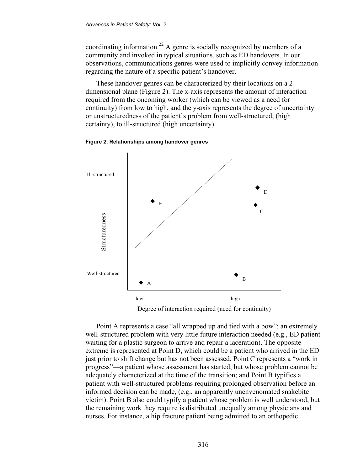coordinating information.22 A genre is socially recognized by members of a community and invoked in typical situations, such as ED handovers. In our observations, communications genres were used to implicitly convey information regarding the nature of a specific patient's handover.

These handover genres can be characterized by their locations on a 2 dimensional plane (Figure 2). The x-axis represents the amount of interaction required from the oncoming worker (which can be viewed as a need for continuity) from low to high, and the y-axis represents the degree of uncertainty or unstructuredness of the patient's problem from well-structured, (high certainty), to ill-structured (high uncertainty).



**Figure 2. Relationships among handover genres** 

Degree of interaction required (need for continuity)

Point A represents a case "all wrapped up and tied with a bow": an extremely well-structured problem with very little future interaction needed (e.g., ED patient waiting for a plastic surgeon to arrive and repair a laceration). The opposite extreme is represented at Point D, which could be a patient who arrived in the ED just prior to shift change but has not been assessed. Point C represents a "work in progress"—a patient whose assessment has started, but whose problem cannot be adequately characterized at the time of the transition; and Point B typifies a patient with well-structured problems requiring prolonged observation before an informed decision can be made, (e.g., an apparently unenvenomated snakebite victim). Point B also could typify a patient whose problem is well understood, but the remaining work they require is distributed unequally among physicians and nurses. For instance, a hip fracture patient being admitted to an orthopedic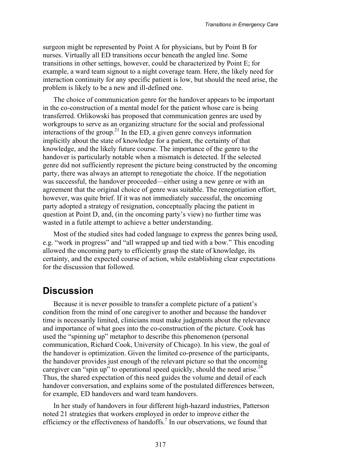surgeon might be represented by Point A for physicians, but by Point B for nurses. Virtually all ED transitions occur beneath the angled line. Some transitions in other settings, however, could be characterized by Point E; for example, a ward team signout to a night coverage team. Here, the likely need for interaction continuity for any specific patient is low, but should the need arise, the problem is likely to be a new and ill-defined one.

The choice of communication genre for the handover appears to be important in the co-construction of a mental model for the patient whose care is being transferred. Orlikowski has proposed that communication genres are used by workgroups to serve as an organizing structure for the social and professional interactions of the group.<sup>21</sup> In the ED, a given genre conveys information implicitly about the state of knowledge for a patient, the certainty of that knowledge, and the likely future course. The importance of the genre to the handover is particularly notable when a mismatch is detected. If the selected genre did not sufficiently represent the picture being constructed by the oncoming party, there was always an attempt to renegotiate the choice. If the negotiation was successful, the handover proceeded—either using a new genre or with an agreement that the original choice of genre was suitable. The renegotiation effort, however, was quite brief. If it was not immediately successful, the oncoming party adopted a strategy of resignation, conceptually placing the patient in question at Point D, and, (in the oncoming party's view) no further time was wasted in a futile attempt to achieve a better understanding.

Most of the studied sites had coded language to express the genres being used, e.g. "work in progress" and "all wrapped up and tied with a bow." This encoding allowed the oncoming party to efficiently grasp the state of knowledge, its certainty, and the expected course of action, while establishing clear expectations for the discussion that followed.

### **Discussion**

Because it is never possible to transfer a complete picture of a patient's condition from the mind of one caregiver to another and because the handover time is necessarily limited, clinicians must make judgments about the relevance and importance of what goes into the co-construction of the picture. Cook has used the "spinning up" metaphor to describe this phenomenon (personal communication, Richard Cook, University of Chicago). In his view, the goal of the handover is optimization. Given the limited co-presence of the participants, the handover provides just enough of the relevant picture so that the oncoming caregiver can "spin up" to operational speed quickly, should the need arise.<sup>24</sup> Thus, the shared expectation of this need guides the volume and detail of each handover conversation, and explains some of the postulated differences between, for example, ED handovers and ward team handovers.

In her study of handovers in four different high-hazard industries, Patterson noted 21 strategies that workers employed in order to improve either the efficiency or the effectiveness of handoffs.<sup>7</sup> In our observations, we found that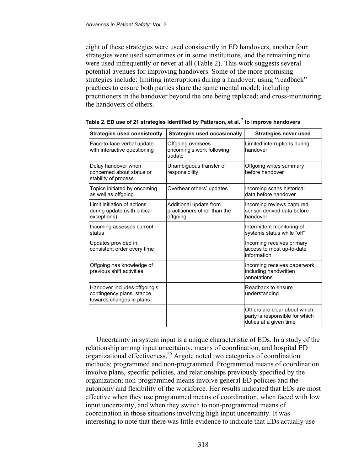eight of these strategies were used consistently in ED handovers, another four strategies were used sometimes or in some institutions, and the remaining nine were used infrequently or never at all (Table 2). This work suggests several potential avenues for improving handovers. Some of the more promising strategies include: limiting interruptions during a handover; using "readback" practices to ensure both parties share the same mental model; including practitioners in the handover beyond the one being replaced; and cross-monitoring the handovers of others.

| <b>Strategies used consistently</b>                                                   | <b>Strategies used occasionally</b>                                | <b>Strategies never used</b>                                                             |
|---------------------------------------------------------------------------------------|--------------------------------------------------------------------|------------------------------------------------------------------------------------------|
| Face-to-face verbal update<br>with interactive questioning                            | Offgoing oversees<br>oncoming's work following<br>update           | Limited interruptions during<br>handover                                                 |
| Delay handover when<br>concerned about status or<br>stability of process              | Unambiguous transfer of<br>responsibility                          | Offgoing writes summary<br>before handover                                               |
| Topics initiated by oncoming<br>as well as offgoing                                   | Overhear others' updates                                           | Incoming scans historical<br>data before handover                                        |
| I imit initiation of actions<br>during update (with critical<br>exceptions)           | Additional update from<br>practitioners other than the<br>offgoing | Incoming reviews captured<br>sensor-derived data before<br>handover                      |
| Incoming assesses current<br>status                                                   |                                                                    | Intermittent monitoring of<br>systems status while "off"                                 |
| Updates provided in<br>consistent order every time                                    |                                                                    | Incoming receives primary<br>access to most up-to-date<br>information                    |
| Offgoing has knowledge of<br>previous shift activities                                |                                                                    | Incoming receives paperwork<br>including handwritten<br>annotations                      |
| Handover includes offgoing's<br>contingency plans, stance<br>towards changes in plans |                                                                    | Readback to ensure<br>understanding                                                      |
|                                                                                       |                                                                    | Others are clear about which<br>party is responsible for which<br>duties at a given time |

**Table 2. ED use of 21 strategies identified by Patterson, et al. <sup>7</sup> to improve handovers** 

Uncertainty in system input is a unique characteristic of EDs. In a study of the relationship among input uncertainty, means of coordination, and hospital ED organizational effectiveness,25 Argote noted two categories of coordination methods: programmed and non-programmed. Programmed means of coordination involve plans, specific policies, and relationships previously specified by the organization; non-programmed means involve general ED policies and the autonomy and flexibility of the workforce. Her results indicated that EDs are most effective when they use programmed means of coordination, when faced with low input uncertainty, and when they switch to non-programmed means of coordination in those situations involving high input uncertainty. It was interesting to note that there was little evidence to indicate that EDs actually use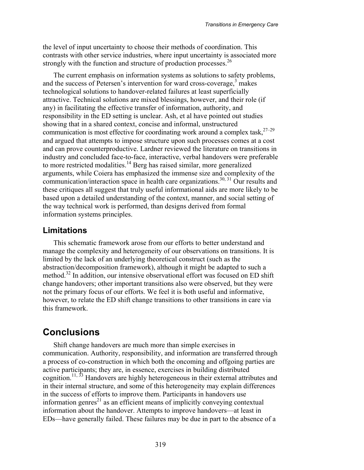the level of input uncertainty to choose their methods of coordination. This contrasts with other service industries, where input uncertainty is associated more strongly with the function and structure of production processes.<sup>26</sup>

The current emphasis on information systems as solutions to safety problems, and the success of Petersen's intervention for ward cross-coverage, $3$  makes technological solutions to handover-related failures at least superficially attractive. Technical solutions are mixed blessings, however, and their role (if any) in facilitating the effective transfer of information, authority, and responsibility in the ED setting is unclear. Ash, et al have pointed out studies showing that in a shared context, concise and informal, unstructured communication is most effective for coordinating work around a complex task, $27-29$ and argued that attempts to impose structure upon such processes comes at a cost and can prove counterproductive. Lardner reviewed the literature on transitions in industry and concluded face-to-face, interactive, verbal handovers were preferable to more restricted modalities.<sup>14</sup> Berg has raised similar, more generalized arguments, while Coiera has emphasized the immense size and complexity of the communication/interaction space in health care organizations.<sup>30, 31</sup> Our results and these critiques all suggest that truly useful informational aids are more likely to be based upon a detailed understanding of the context, manner, and social setting of the way technical work is performed, than designs derived from formal information systems principles.

### **Limitations**

This schematic framework arose from our efforts to better understand and manage the complexity and heterogeneity of our observations on transitions. It is limited by the lack of an underlying theoretical construct (such as the abstraction/decomposition framework), although it might be adapted to such a method.<sup>32</sup> In addition, our intensive observational effort was focused on ED shift change handovers; other important transitions also were observed, but they were not the primary focus of our efforts. We feel it is both useful and informative, however, to relate the ED shift change transitions to other transitions in care via this framework.

## **Conclusions**

Shift change handovers are much more than simple exercises in communication. Authority, responsibility, and information are transferred through a process of co-construction in which both the oncoming and offgoing parties are active participants; they are, in essence, exercises in building distributed cognition.11, 33 Handovers are highly heterogeneous in their external attributes and in their internal structure, and some of this heterogeneity may explain differences in the success of efforts to improve them. Participants in handovers use information genres $^{21}$  as an efficient means of implicitly conveying contextual information about the handover. Attempts to improve handovers—at least in EDs—have generally failed. These failures may be due in part to the absence of a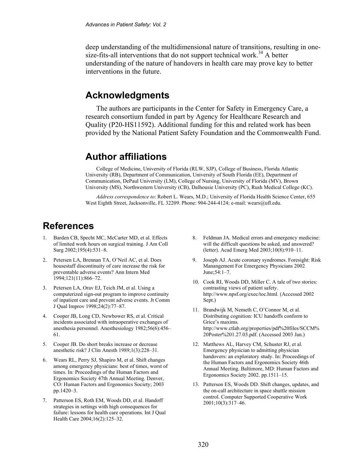deep understanding of the multidimensional nature of transitions, resulting in onesize-fits-all interventions that do not support technical work.<sup>34</sup> A better understanding of the nature of handovers in health care may prove key to better interventions in the future.

## **Acknowledgments**

The authors are participants in the Center for Safety in Emergency Care, a research consortium funded in part by Agency for Healthcare Research and Quality (P20-HS11592). Additional funding for this and related work has been provided by the National Patient Safety Foundation and the Commonwealth Fund.

### **Author affiliations**

College of Medicine, University of Florida (RLW, SJP), College of Business, Florida Atlantic University (RB), Department of Communication, University of South Florida (EE), Department of Communication, DePaul University (LM), College of Nursing, University of Florida (MV), Brown University (MS), Northwestern University (CB), Dalhousie University (PC), Rush Medical College (KC).

*Address correspondence to*: Robert L. Wears, M.D.; University of Florida Health Science Center, 655 West Eighth Street, Jacksonville, FL 32209. Phone: 904-244-4124; e-mail: wears@ufl.edu.

## **References**

- 1. Barden CB, Specht MC, McCarter MD, et al. Effects of limited work hours on surgical training. J Am Coll Surg 2002;195(4):531–8.
- 2. Petersen LA, Brennan TA, O'Neil AC, et al. Does housestaff discontinuity of care increase the risk for preventable adverse events? Ann Intern Med 1994;121(11):866–72.
- 3. Petersen LA, Orav EJ, Teich JM, et al. Using a computerized sign-out program to improve continuity of inpatient care and prevent adverse events. Jt Comm J Qual Improv 1998;24(2):77–87.
- 4. Cooper JB, Long CD, Newbower RS, et al. Critical incidents associated with intraoperative exchanges of anesthesia personnel. Anesthesiology 1982;56(6):456– 61.
- 5. Cooper JB. Do short breaks increase or decrease anesthetic risk? J Clin Anesth 1989;1(3):228–31.
- 6. Wears RL, Perry SJ, Shapiro M, et al. Shift changes among emergency physicians: best of times, worst of times. In: Proceedings of the Human Factors and Ergonomics Society 47th Annual Meeting. Denver, CO: Human Factors and Ergonomics Society; 2003 pp.1420–3.
- 7. Patterson ES, Roth EM, Woods DD, et al. Handoff strategies in settings with high consequences for failure: lessons for health care operations. Int J Qual Health Care 2004;16(2):125–32.
- 8. Feldman JA. Medical errors and emergency medicine: will the difficult questions be asked, and answered? (letter). Acad Emerg Med 2003;10(8):910–11.
- 9. Joseph AJ. Acute coronary syndromes. Foresight: Risk Manangement For Emergency Physicians 2002 June;54:1–7.
- 10. Cook RI, Woods DD, Miller C. A tale of two stories: contrasting views of patient safety. http://www.npsf.org/exec/toc.html*.* (Accessed 2002 Sept.)
- 11. Brandwijk M, Nemeth C, O'Connor M, et al. Distributing cognition: ICU handoffs conform to Grice's maxims. http://www.ctlab.org/properties/pdf%20files/SCCM% 20Poster%201.27.03.pdf. (Accessed 2003 Jan.)
- 12. Matthews AL, Harvey CM, Schuster RJ, et al. Emergency physician to admitting physician handovers: an exploratory study. In: Proceedings of the Human Factors and Ergonomics Society 46th Annual Meeting. Baltimore, MD: Human Factors and Ergonomics Society 2002. pp.1511–15.
- 13. Patterson ES, Woods DD. Shift changes, updates, and the on-call architecture in space shuttle mission control. Computer Supported Cooperative Work 2001;10(3):317–46.